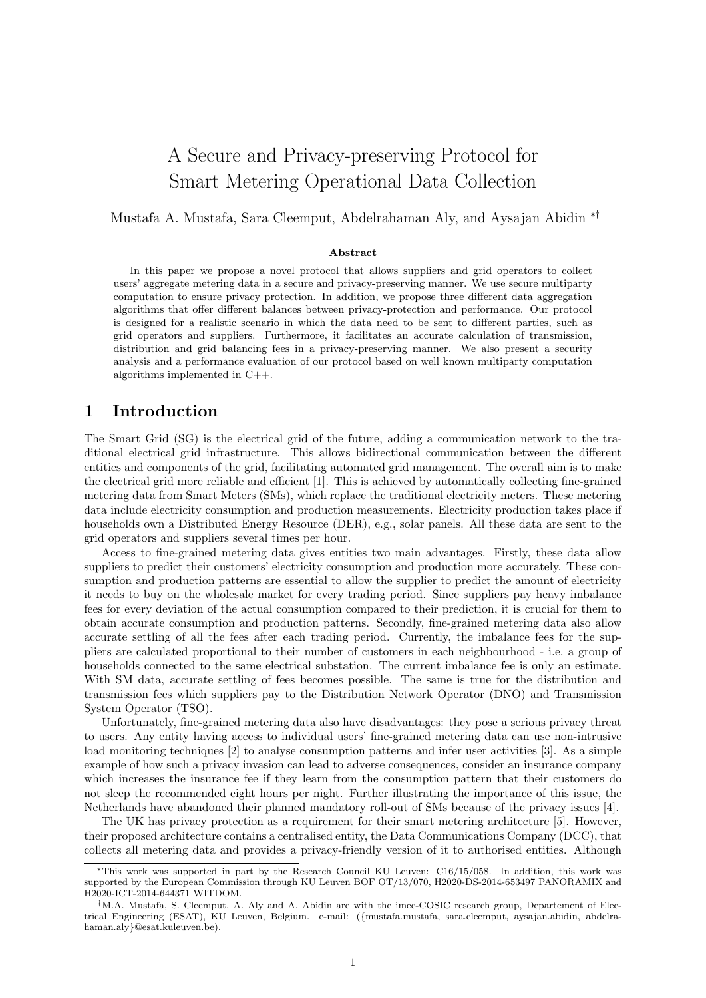# A Secure and Privacy-preserving Protocol for Smart Metering Operational Data Collection

## Mustafa A. Mustafa, Sara Cleemput, Abdelrahaman Aly, and Aysajan Abidin ∗†

#### Abstract

In this paper we propose a novel protocol that allows suppliers and grid operators to collect users' aggregate metering data in a secure and privacy-preserving manner. We use secure multiparty computation to ensure privacy protection. In addition, we propose three different data aggregation algorithms that offer different balances between privacy-protection and performance. Our protocol is designed for a realistic scenario in which the data need to be sent to different parties, such as grid operators and suppliers. Furthermore, it facilitates an accurate calculation of transmission, distribution and grid balancing fees in a privacy-preserving manner. We also present a security analysis and a performance evaluation of our protocol based on well known multiparty computation algorithms implemented in C++.

# 1 Introduction

The Smart Grid (SG) is the electrical grid of the future, adding a communication network to the traditional electrical grid infrastructure. This allows bidirectional communication between the different entities and components of the grid, facilitating automated grid management. The overall aim is to make the electrical grid more reliable and efficient [1]. This is achieved by automatically collecting fine-grained metering data from Smart Meters (SMs), which replace the traditional electricity meters. These metering data include electricity consumption and production measurements. Electricity production takes place if households own a Distributed Energy Resource (DER), e.g., solar panels. All these data are sent to the grid operators and suppliers several times per hour.

Access to fine-grained metering data gives entities two main advantages. Firstly, these data allow suppliers to predict their customers' electricity consumption and production more accurately. These consumption and production patterns are essential to allow the supplier to predict the amount of electricity it needs to buy on the wholesale market for every trading period. Since suppliers pay heavy imbalance fees for every deviation of the actual consumption compared to their prediction, it is crucial for them to obtain accurate consumption and production patterns. Secondly, fine-grained metering data also allow accurate settling of all the fees after each trading period. Currently, the imbalance fees for the suppliers are calculated proportional to their number of customers in each neighbourhood - i.e. a group of households connected to the same electrical substation. The current imbalance fee is only an estimate. With SM data, accurate settling of fees becomes possible. The same is true for the distribution and transmission fees which suppliers pay to the Distribution Network Operator (DNO) and Transmission System Operator (TSO).

Unfortunately, fine-grained metering data also have disadvantages: they pose a serious privacy threat to users. Any entity having access to individual users' fine-grained metering data can use non-intrusive load monitoring techniques [2] to analyse consumption patterns and infer user activities [3]. As a simple example of how such a privacy invasion can lead to adverse consequences, consider an insurance company which increases the insurance fee if they learn from the consumption pattern that their customers do not sleep the recommended eight hours per night. Further illustrating the importance of this issue, the Netherlands have abandoned their planned mandatory roll-out of SMs because of the privacy issues [4].

The UK has privacy protection as a requirement for their smart metering architecture [5]. However, their proposed architecture contains a centralised entity, the Data Communications Company (DCC), that collects all metering data and provides a privacy-friendly version of it to authorised entities. Although

<sup>∗</sup>This work was supported in part by the Research Council KU Leuven: C16/15/058. In addition, this work was supported by the European Commission through KU Leuven BOF OT/13/070, H2020-DS-2014-653497 PANORAMIX and H2020-ICT-2014-644371 WITDOM.

<sup>†</sup>M.A. Mustafa, S. Cleemput, A. Aly and A. Abidin are with the imec-COSIC research group, Departement of Electrical Engineering (ESAT), KU Leuven, Belgium. e-mail: ({mustafa.mustafa, sara.cleemput, aysajan.abidin, abdelrahaman.aly}@esat.kuleuven.be).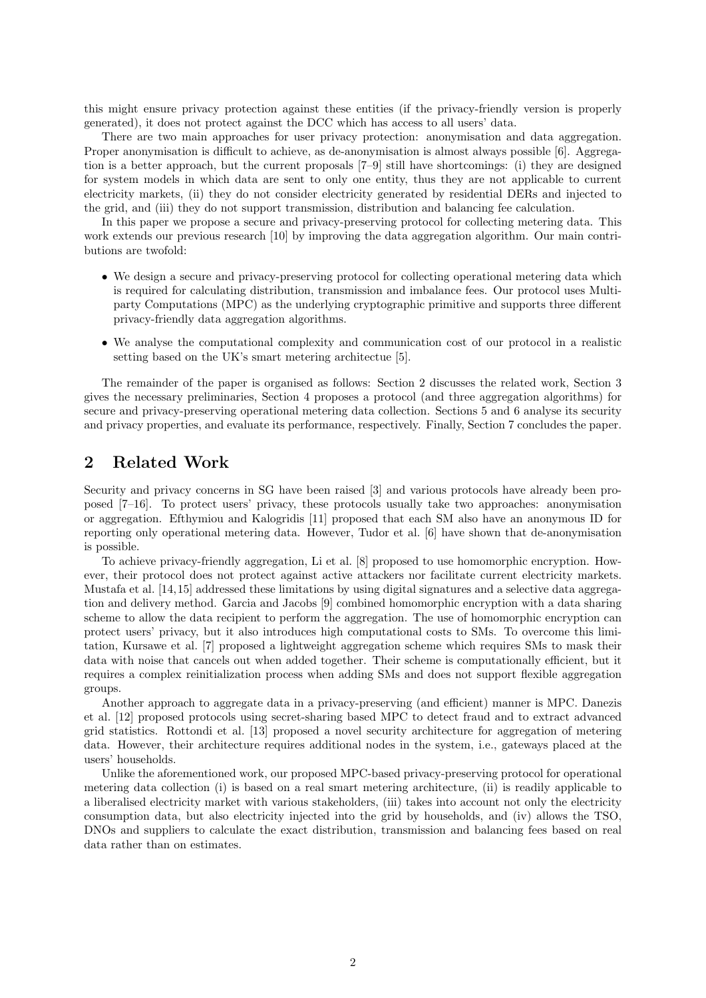this might ensure privacy protection against these entities (if the privacy-friendly version is properly generated), it does not protect against the DCC which has access to all users' data.

There are two main approaches for user privacy protection: anonymisation and data aggregation. Proper anonymisation is difficult to achieve, as de-anonymisation is almost always possible [6]. Aggregation is a better approach, but the current proposals [7–9] still have shortcomings: (i) they are designed for system models in which data are sent to only one entity, thus they are not applicable to current electricity markets, (ii) they do not consider electricity generated by residential DERs and injected to the grid, and (iii) they do not support transmission, distribution and balancing fee calculation.

In this paper we propose a secure and privacy-preserving protocol for collecting metering data. This work extends our previous research [10] by improving the data aggregation algorithm. Our main contributions are twofold:

- We design a secure and privacy-preserving protocol for collecting operational metering data which is required for calculating distribution, transmission and imbalance fees. Our protocol uses Multiparty Computations (MPC) as the underlying cryptographic primitive and supports three different privacy-friendly data aggregation algorithms.
- We analyse the computational complexity and communication cost of our protocol in a realistic setting based on the UK's smart metering architectue [5].

The remainder of the paper is organised as follows: Section 2 discusses the related work, Section 3 gives the necessary preliminaries, Section 4 proposes a protocol (and three aggregation algorithms) for secure and privacy-preserving operational metering data collection. Sections 5 and 6 analyse its security and privacy properties, and evaluate its performance, respectively. Finally, Section 7 concludes the paper.

# 2 Related Work

Security and privacy concerns in SG have been raised [3] and various protocols have already been proposed [7–16]. To protect users' privacy, these protocols usually take two approaches: anonymisation or aggregation. Efthymiou and Kalogridis [11] proposed that each SM also have an anonymous ID for reporting only operational metering data. However, Tudor et al. [6] have shown that de-anonymisation is possible.

To achieve privacy-friendly aggregation, Li et al. [8] proposed to use homomorphic encryption. However, their protocol does not protect against active attackers nor facilitate current electricity markets. Mustafa et al. [14,15] addressed these limitations by using digital signatures and a selective data aggregation and delivery method. Garcia and Jacobs [9] combined homomorphic encryption with a data sharing scheme to allow the data recipient to perform the aggregation. The use of homomorphic encryption can protect users' privacy, but it also introduces high computational costs to SMs. To overcome this limitation, Kursawe et al. [7] proposed a lightweight aggregation scheme which requires SMs to mask their data with noise that cancels out when added together. Their scheme is computationally efficient, but it requires a complex reinitialization process when adding SMs and does not support flexible aggregation groups.

Another approach to aggregate data in a privacy-preserving (and efficient) manner is MPC. Danezis et al. [12] proposed protocols using secret-sharing based MPC to detect fraud and to extract advanced grid statistics. Rottondi et al. [13] proposed a novel security architecture for aggregation of metering data. However, their architecture requires additional nodes in the system, i.e., gateways placed at the users' households.

Unlike the aforementioned work, our proposed MPC-based privacy-preserving protocol for operational metering data collection (i) is based on a real smart metering architecture, (ii) is readily applicable to a liberalised electricity market with various stakeholders, (iii) takes into account not only the electricity consumption data, but also electricity injected into the grid by households, and (iv) allows the TSO, DNOs and suppliers to calculate the exact distribution, transmission and balancing fees based on real data rather than on estimates.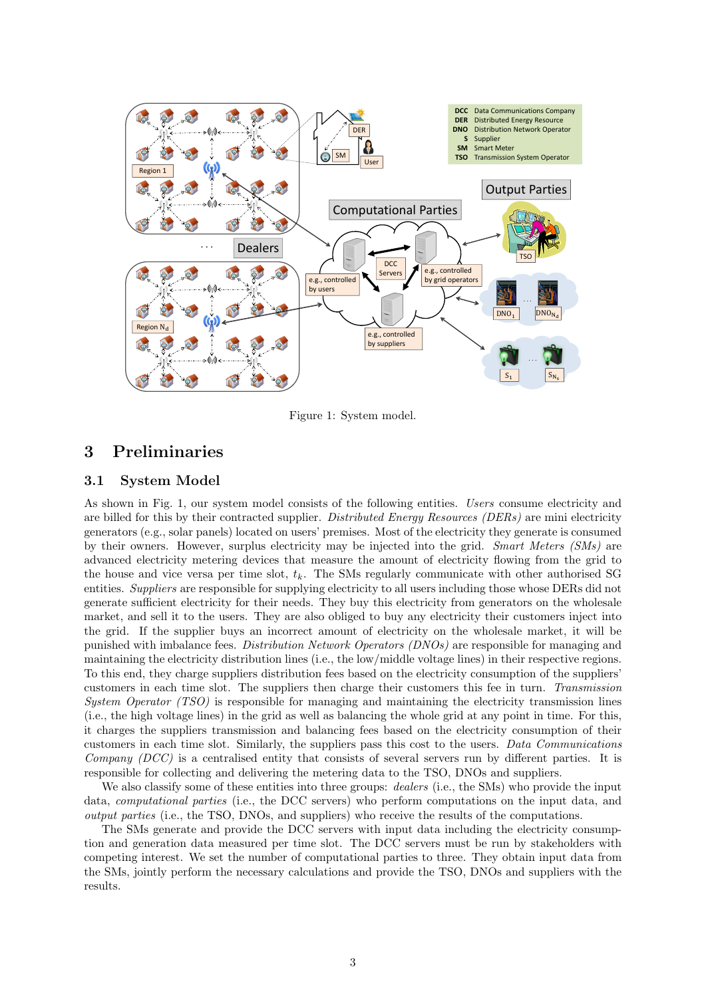

Figure 1: System model.

# 3 Preliminaries

# 3.1 System Model

As shown in Fig. 1, our system model consists of the following entities. Users consume electricity and are billed for this by their contracted supplier. Distributed Energy Resources (DERs) are mini electricity generators (e.g., solar panels) located on users' premises. Most of the electricity they generate is consumed by their owners. However, surplus electricity may be injected into the grid. Smart Meters (SMs) are advanced electricity metering devices that measure the amount of electricity flowing from the grid to the house and vice versa per time slot,  $t_k$ . The SMs regularly communicate with other authorised SG entities. Suppliers are responsible for supplying electricity to all users including those whose DERs did not generate sufficient electricity for their needs. They buy this electricity from generators on the wholesale market, and sell it to the users. They are also obliged to buy any electricity their customers inject into the grid. If the supplier buys an incorrect amount of electricity on the wholesale market, it will be punished with imbalance fees. *Distribution Network Operators (DNOs)* are responsible for managing and maintaining the electricity distribution lines (i.e., the low/middle voltage lines) in their respective regions. To this end, they charge suppliers distribution fees based on the electricity consumption of the suppliers' customers in each time slot. The suppliers then charge their customers this fee in turn. Transmission System Operator (TSO) is responsible for managing and maintaining the electricity transmission lines (i.e., the high voltage lines) in the grid as well as balancing the whole grid at any point in time. For this, it charges the suppliers transmission and balancing fees based on the electricity consumption of their customers in each time slot. Similarly, the suppliers pass this cost to the users. Data Communications Company (DCC) is a centralised entity that consists of several servers run by different parties. It is responsible for collecting and delivering the metering data to the TSO, DNOs and suppliers.

We also classify some of these entities into three groups: *dealers* (i.e., the SMs) who provide the input data, computational parties (i.e., the DCC servers) who perform computations on the input data, and output parties (i.e., the TSO, DNOs, and suppliers) who receive the results of the computations.

The SMs generate and provide the DCC servers with input data including the electricity consumption and generation data measured per time slot. The DCC servers must be run by stakeholders with competing interest. We set the number of computational parties to three. They obtain input data from the SMs, jointly perform the necessary calculations and provide the TSO, DNOs and suppliers with the results.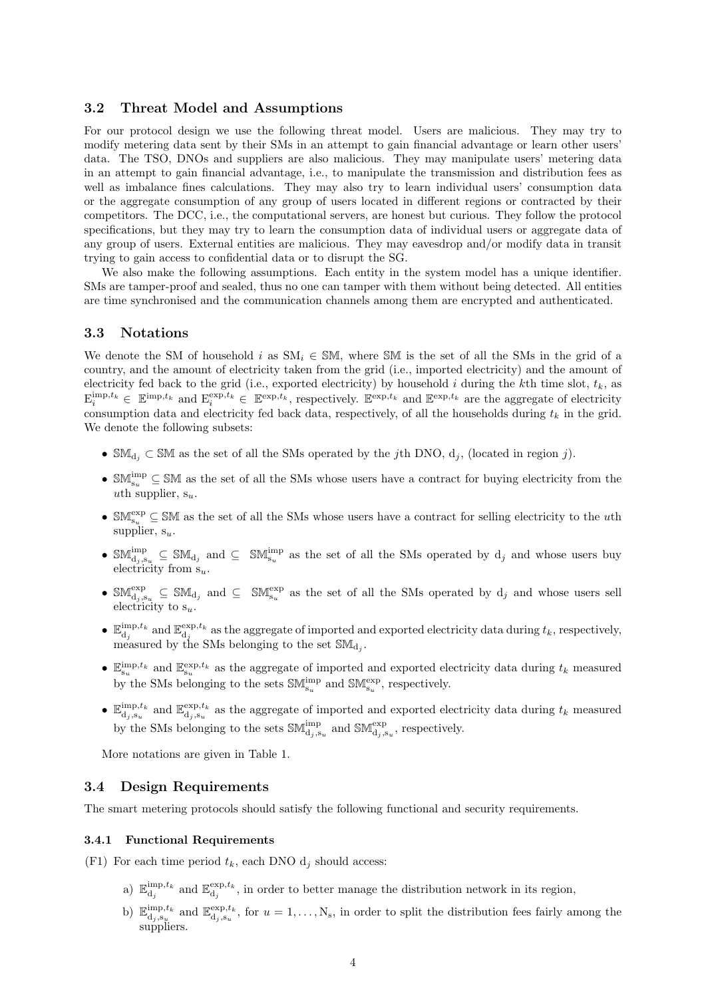### 3.2 Threat Model and Assumptions

For our protocol design we use the following threat model. Users are malicious. They may try to modify metering data sent by their SMs in an attempt to gain financial advantage or learn other users' data. The TSO, DNOs and suppliers are also malicious. They may manipulate users' metering data in an attempt to gain financial advantage, i.e., to manipulate the transmission and distribution fees as well as imbalance fines calculations. They may also try to learn individual users' consumption data or the aggregate consumption of any group of users located in different regions or contracted by their competitors. The DCC, i.e., the computational servers, are honest but curious. They follow the protocol specifications, but they may try to learn the consumption data of individual users or aggregate data of any group of users. External entities are malicious. They may eavesdrop and/or modify data in transit trying to gain access to confidential data or to disrupt the SG.

We also make the following assumptions. Each entity in the system model has a unique identifier. SMs are tamper-proof and sealed, thus no one can tamper with them without being detected. All entities are time synchronised and the communication channels among them are encrypted and authenticated.

### 3.3 Notations

We denote the SM of household i as  $SM_i \in SM$ , where SM is the set of all the SMs in the grid of a country, and the amount of electricity taken from the grid (i.e., imported electricity) and the amount of electricity fed back to the grid (i.e., exported electricity) by household i during the kth time slot,  $t_k$ , as  $\mathbf{E}_i^{\text{imp},t_k} \in \mathbb{E}^{\text{imp},t_k}$  and  $\mathbf{E}_i^{\text{exp},t_k} \in \mathbb{E}^{\text{exp},t_k}$ , respectively.  $\mathbb{E}^{\text{exp},t_k}$  and  $\mathbb{E}^{\text{exp},t_k}$  are the aggregate of electricity consumption data and electricity fed back data, respectively, of all the households during  $t_k$  in the grid. We denote the following subsets:

- SM<sub>d<sub>i</sub></sub>  $\subset$  SM as the set of all the SMs operated by the jth DNO,  $d_j$ , (located in region j).
- $\mathbb{SM}_{s_u}^{\text{imp}} \subseteq \mathbb{SM}$  as the set of all the SMs whose users have a contract for buying electricity from the uth supplier,  $s_u$ .
- $\mathbb{SM}^{\text{exp}}_{s_u} \subseteq \mathbb{SM}$  as the set of all the SMs whose users have a contract for selling electricity to the uth supplier,  $s_u$ .
- $\mathbb{S}\mathbb{M}_{d_j,s_u}^{imp}$   $\subseteq \mathbb{S}\mathbb{M}_{d_j}$  and  $\subseteq \mathbb{S}\mathbb{M}_{s_u}^{imp}$  as the set of all the SMs operated by  $d_j$  and whose users buy electricity from  $s_u$ .
- $\mathbb{SM}^{\text{exp}}_{d_j,s_u}$   $\subseteq$   $\mathbb{SM}_{d_j}$  and  $\subseteq$   $\mathbb{SM}^{\text{exp}}_{s_u}$  as the set of all the SMs operated by  $d_j$  and whose users sell electricity to  $s_u$ .
- $\bullet$   $\mathbb{E}_{\mathbf{d}_j}^{\text{imp},t_k}$  and  $\mathbb{E}_{\mathbf{d}_j}^{\text{exp},t_k}$  as the aggregate of imported and exported electricity data during  $t_k$ , respectively, measured by the SMs belonging to the set  $\mathbb{SM}_{d_j}$ .
- $\mathbb{E}_{s_u}^{\text{imp},t_k}$  and  $\mathbb{E}_{s_u}^{\text{exp},t_k}$  as the aggregate of imported and exported electricity data during  $t_k$  measured by the SMs belonging to the sets  $\mathbb{SM}^{\mathrm{imp}}_{s_u}$  and  $\mathbb{SM}^{\mathrm{exp}}_{s_u},$  respectively.
- $\bullet$   $\mathbb{E}_{\mathbf{d}_j,\mathbf{s}_u}^{\text{imp},t_k}$  and  $\mathbb{E}_{\mathbf{d}_j,\mathbf{s}_u}^{\text{exp},t_k}$  as the aggregate of imported and exported electricity data during  $t_k$  measured by the SMs belonging to the sets  $\mathbb{SM}^{\text{imp}}_{\mathbf{d}_{j},s_{u}}$  and  $\mathbb{SM}^{\text{exp}}_{\mathbf{d}_{j},s_{u}},$  respectively.

More notations are given in Table 1.

### 3.4 Design Requirements

The smart metering protocols should satisfy the following functional and security requirements.

### 3.4.1 Functional Requirements

(F1) For each time period  $t_k$ , each DNO  $d_i$  should access:

- a)  $\mathbb{E}_{\mathbf{d}_j}^{\text{imp},t_k}$  and  $\mathbb{E}_{\mathbf{d}_j}^{\text{exp},t_k}$ , in order to better manage the distribution network in its region,
- b)  $\mathbb{E}_{\mathbf{d}_j,\mathbf{s}_u}^{\text{imp},t_k}$  and  $\mathbb{E}_{\mathbf{d}_j,\mathbf{s}_u}^{\text{exp},t_k}$ , for  $u=1,\ldots,N_s$ , in order to split the distribution fees fairly among the suppliers.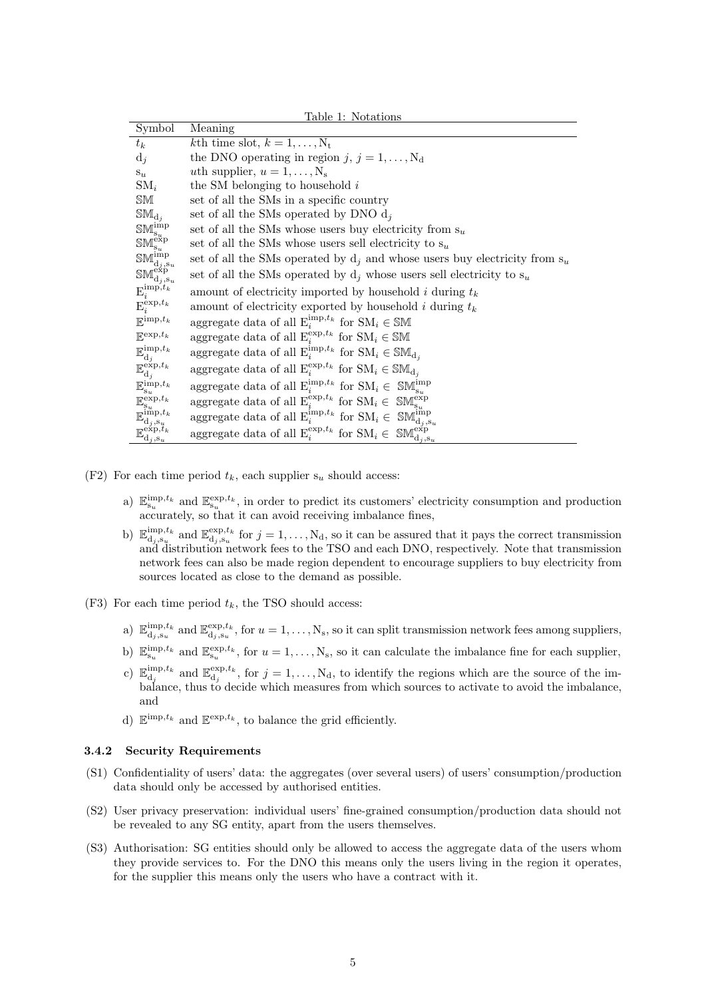| Table 1: Notations                                                                                                                                          |                                                                                                                           |  |  |  |  |
|-------------------------------------------------------------------------------------------------------------------------------------------------------------|---------------------------------------------------------------------------------------------------------------------------|--|--|--|--|
| Symbol                                                                                                                                                      | Meaning                                                                                                                   |  |  |  |  |
| $t_k$                                                                                                                                                       | kth time slot, $k = 1, \ldots, N_t$                                                                                       |  |  |  |  |
| $d_j$                                                                                                                                                       | the DNO operating in region j, $j = 1, , N_d$                                                                             |  |  |  |  |
| $S_{u}$                                                                                                                                                     | <i>uth</i> supplier, $u = 1, \ldots, N_s$                                                                                 |  |  |  |  |
| $\mathrm{SM}_i$                                                                                                                                             | the SM belonging to household $i$                                                                                         |  |  |  |  |
| SM                                                                                                                                                          | set of all the SMs in a specific country                                                                                  |  |  |  |  |
| $\mathbb{SM}_{d_i}$                                                                                                                                         | set of all the SMs operated by DNO $d_i$                                                                                  |  |  |  |  |
| $\mathbb{SM}^{\mathrm{imp}}_{\mathbf{s}_u}$                                                                                                                 | set of all the SMs whose users buy electricity from $s_u$                                                                 |  |  |  |  |
|                                                                                                                                                             | set of all the SMs whose users sell electricity to $s_u$                                                                  |  |  |  |  |
| $\begin{array}{l} \mathbb{SM}^{\mathrm{exp}}_{s_u} \\ \mathbb{SM}^{\mathrm{imp}}_{\mathrm{d}_j,\mathrm{s}_u} \end{array}$                                   | set of all the SMs operated by $d_i$ and whose users buy electricity from $s_u$                                           |  |  |  |  |
| $\mathbb{SM}^{\text{exp}}_{\mathbf{d}_{j},\mathbf{s}_{u}}$                                                                                                  | set of all the SMs operated by $d_i$ whose users sell electricity to $s_u$                                                |  |  |  |  |
| $\mathrm{E}^{\mathrm{imp},t_k}_{i}$                                                                                                                         | amount of electricity imported by household i during $t_k$                                                                |  |  |  |  |
| $\mathbf{E}_i^{\exp,t_k}$                                                                                                                                   | amount of electricity exported by household i during $t_k$                                                                |  |  |  |  |
| $\mathbb{E}^{\text{imp},t_k}$                                                                                                                               | aggregate data of all $E_i^{imp,t_k}$ for $SM_i \in SM$                                                                   |  |  |  |  |
| $\mathbb{E}^{\exp,t_k}$                                                                                                                                     | aggregate data of all $E_i^{\exp,t_k}$ for $SM_i \in SM$                                                                  |  |  |  |  |
| $\mathbb{E}_{\text{d}_j}^{\text{imp},t_k}$                                                                                                                  | aggregate data of all $E_i^{imp,t_k}$ for $SM_i \in SM_{d_i}$                                                             |  |  |  |  |
| $\mathbb{E}_{\text{d}_j}^{\text{exp},t_k}$                                                                                                                  | aggregate data of all $E_i^{\exp,t_k}$ for $SM_i \in SM_{d_i}$                                                            |  |  |  |  |
| $\mathbb{E}_{\mathbf{s}_u}^{\mathrm{imp},t_k}$                                                                                                              | aggregate data of all $E_i^{imp,t_k}$ for $SM_i \in SM_{s_u}^{imp}$                                                       |  |  |  |  |
|                                                                                                                                                             | aggregate data of all $E_i^{exp, t_k}$ for $SM_i \in SM_{s_n}^{exp}$                                                      |  |  |  |  |
| $\mathbb{E}^{\exp, t_k}_{\mathbf{s}_u} \ \mathbb{E}^{\mathrm{imp}, t_k}_{\mathbf{d}_j, \mathbf{s}_u} \ \mathbb{E}^{\exp, t_k}_{\mathbf{d}_j, \mathbf{s}_u}$ | aggregate data of all $E_i^{\text{imp},t_k}$ for $\text{SM}_i \in \text{SM}_{d_j,s_u}^{\text{imp}}$                       |  |  |  |  |
|                                                                                                                                                             | aggregate data of all $\mathcal{E}_i^{\exp,t_k}$ for $\mathcal{SM}_i \in \mathcal{SM}^{\exp}_{\mathbf{d}_j,\mathbf{s}_u}$ |  |  |  |  |

- (F2) For each time period  $t_k$ , each supplier  $s_u$  should access:
	- a)  $\mathbb{E}_{s_u}^{\text{imp},t_k}$  and  $\mathbb{E}_{s_u}^{\text{exp},t_k}$ , in order to predict its customers' electricity consumption and production  $\alpha^u$  accurately, so that it can avoid receiving imbalance fines,
	- b)  $\mathbb{E}_{d_j,s_u}^{imp,t_k}$  and  $\mathbb{E}_{d_j,s_u}^{exp,t_k}$  for  $j=1,\ldots,N_d$ , so it can be assured that it pays the correct transmission and distribution network fees to the TSO and each DNO, respectively. Note that transmission network fees can also be made region dependent to encourage suppliers to buy electricity from sources located as close to the demand as possible.
- (F3) For each time period  $t_k$ , the TSO should access:
	- a)  $\mathbb{E}_{d_j,s_u}^{imp,t_k}$  and  $\mathbb{E}_{d_j,s_u}^{exp,t_k}$ , for  $u=1,\ldots,N_s$ , so it can split transmission network fees among suppliers,
	- b)  $\mathbb{E}_{s_u}^{\text{imp},t_k}$  and  $\mathbb{E}_{s_u}^{\text{exp},t_k}$ , for  $u=1,\ldots,N_s$ , so it can calculate the imbalance fine for each supplier,
	- c)  $\mathbb{E}_{\mathbf{d}_j}^{\text{imp},t_k}$  and  $\mathbb{E}_{\mathbf{d}_j}^{\text{exp},t_k}$ , for  $j=1,\ldots,N_d$ , to identify the regions which are the source of the imbalance, thus to decide which measures from which sources to activate to avoid the imbalance, and
	- d)  $\mathbb{E}^{\text{imp},t_k}$  and  $\mathbb{E}^{\text{exp},t_k}$ , to balance the grid efficiently.

#### 3.4.2 Security Requirements

- (S1) Confidentiality of users' data: the aggregates (over several users) of users' consumption/production data should only be accessed by authorised entities.
- (S2) User privacy preservation: individual users' fine-grained consumption/production data should not be revealed to any SG entity, apart from the users themselves.
- (S3) Authorisation: SG entities should only be allowed to access the aggregate data of the users whom they provide services to. For the DNO this means only the users living in the region it operates, for the supplier this means only the users who have a contract with it.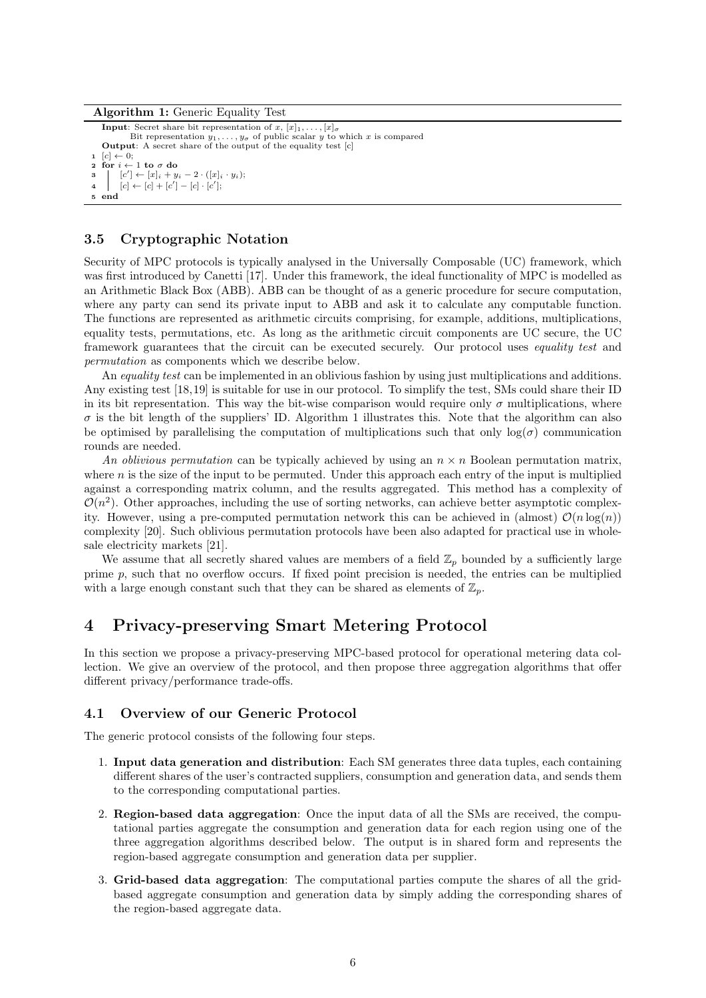#### Algorithm 1: Generic Equality Test

```
Input: Secret share bit representation of x, [x]_1, \ldots, [x]_{\sigma}<br>Bit representation y_1, \ldots, y_{\sigma} of public scalar y to which x is compared
    Output: A secret share of the output of the equality test [c]
    [c] \leftarrow 0;2 for i \leftarrow 1 to \sigma do
3 [c'] \leftarrow [x]_i + y_i - 2 \cdot ([x]_i \cdot y_i);4 [c] \leftarrow [c] + [c'] - [c] \cdot [c'];
5 end
```
## 3.5 Cryptographic Notation

Security of MPC protocols is typically analysed in the Universally Composable (UC) framework, which was first introduced by Canetti [17]. Under this framework, the ideal functionality of MPC is modelled as an Arithmetic Black Box (ABB). ABB can be thought of as a generic procedure for secure computation, where any party can send its private input to ABB and ask it to calculate any computable function. The functions are represented as arithmetic circuits comprising, for example, additions, multiplications, equality tests, permutations, etc. As long as the arithmetic circuit components are UC secure, the UC framework guarantees that the circuit can be executed securely. Our protocol uses equality test and permutation as components which we describe below.

An *equality test* can be implemented in an oblivious fashion by using just multiplications and additions. Any existing test [18,19] is suitable for use in our protocol. To simplify the test, SMs could share their ID in its bit representation. This way the bit-wise comparison would require only  $\sigma$  multiplications, where  $\sigma$  is the bit length of the suppliers' ID. Algorithm 1 illustrates this. Note that the algorithm can also be optimised by parallelising the computation of multiplications such that only  $log(\sigma)$  communication rounds are needed.

An oblivious permutation can be typically achieved by using an  $n \times n$  Boolean permutation matrix, where n is the size of the input to be permuted. Under this approach each entry of the input is multiplied against a corresponding matrix column, and the results aggregated. This method has a complexity of  $\mathcal{O}(n^2)$ . Other approaches, including the use of sorting networks, can achieve better asymptotic complexity. However, using a pre-computed permutation network this can be achieved in (almost)  $\mathcal{O}(n \log(n))$ complexity [20]. Such oblivious permutation protocols have been also adapted for practical use in wholesale electricity markets [21].

We assume that all secretly shared values are members of a field  $\mathbb{Z}_p$  bounded by a sufficiently large prime  $p$ , such that no overflow occurs. If fixed point precision is needed, the entries can be multiplied with a large enough constant such that they can be shared as elements of  $\mathbb{Z}_p$ .

# 4 Privacy-preserving Smart Metering Protocol

In this section we propose a privacy-preserving MPC-based protocol for operational metering data collection. We give an overview of the protocol, and then propose three aggregation algorithms that offer different privacy/performance trade-offs.

### 4.1 Overview of our Generic Protocol

The generic protocol consists of the following four steps.

- 1. Input data generation and distribution: Each SM generates three data tuples, each containing different shares of the user's contracted suppliers, consumption and generation data, and sends them to the corresponding computational parties.
- 2. Region-based data aggregation: Once the input data of all the SMs are received, the computational parties aggregate the consumption and generation data for each region using one of the three aggregation algorithms described below. The output is in shared form and represents the region-based aggregate consumption and generation data per supplier.
- 3. Grid-based data aggregation: The computational parties compute the shares of all the gridbased aggregate consumption and generation data by simply adding the corresponding shares of the region-based aggregate data.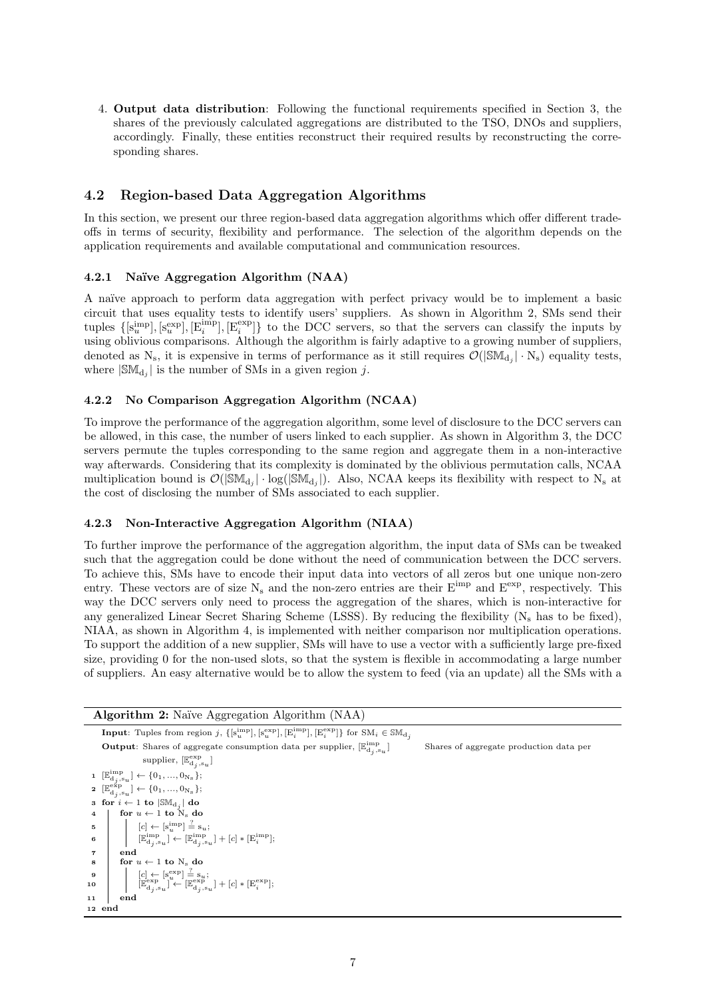4. Output data distribution: Following the functional requirements specified in Section 3, the shares of the previously calculated aggregations are distributed to the TSO, DNOs and suppliers, accordingly. Finally, these entities reconstruct their required results by reconstructing the corresponding shares.

# 4.2 Region-based Data Aggregation Algorithms

In this section, we present our three region-based data aggregation algorithms which offer different tradeoffs in terms of security, flexibility and performance. The selection of the algorithm depends on the application requirements and available computational and communication resources.

### 4.2.1 Naïve Aggregation Algorithm (NAA)

A naïve approach to perform data aggregation with perfect privacy would be to implement a basic circuit that uses equality tests to identify users' suppliers. As shown in Algorithm 2, SMs send their tuples  $\{[\mathbf{s}_u^{\text{imp}}], [\mathbf{s}_u^{\text{exp}}], [\mathbf{E}_i^{\text{exp}}], [\mathbf{E}_i^{\text{exp}}]\}$  to the DCC servers, so that the servers can classify the inputs by using oblivious comparisons. Although the algorithm is fairly adaptive to a growing number of suppliers, denoted as  $N_s$ , it is expensive in terms of performance as it still requires  $\mathcal{O}(|\mathbb{SM}_{d_j}| \cdot N_s)$  equality tests, where  $|\mathbb{SM}_{d_j}|$  is the number of SMs in a given region j.

### 4.2.2 No Comparison Aggregation Algorithm (NCAA)

To improve the performance of the aggregation algorithm, some level of disclosure to the DCC servers can be allowed, in this case, the number of users linked to each supplier. As shown in Algorithm 3, the DCC servers permute the tuples corresponding to the same region and aggregate them in a non-interactive way afterwards. Considering that its complexity is dominated by the oblivious permutation calls, NCAA multiplication bound is  $\mathcal{O}(|\mathbb{SM}_{d_j}| \cdot \log(|\mathbb{SM}_{d_j}|)$ . Also, NCAA keeps its flexibility with respect to N<sub>s</sub> at the cost of disclosing the number of SMs associated to each supplier.

#### 4.2.3 Non-Interactive Aggregation Algorithm (NIAA)

To further improve the performance of the aggregation algorithm, the input data of SMs can be tweaked such that the aggregation could be done without the need of communication between the DCC servers. To achieve this, SMs have to encode their input data into vectors of all zeros but one unique non-zero entry. These vectors are of size  $N_s$  and the non-zero entries are their  $E^{imp}$  and  $E^{exp}$ , respectively. This way the DCC servers only need to process the aggregation of the shares, which is non-interactive for any generalized Linear Secret Sharing Scheme (LSSS). By reducing the flexibility  $(N_s)$  has to be fixed), NIAA, as shown in Algorithm 4, is implemented with neither comparison nor multiplication operations. To support the addition of a new supplier, SMs will have to use a vector with a sufficiently large pre-fixed size, providing 0 for the non-used slots, so that the system is flexible in accommodating a large number of suppliers. An easy alternative would be to allow the system to feed (via an update) all the SMs with a

Algorithm 2: Naïve Aggregation Algorithm (NAA) **Input**: Tuples from region j,  $\{[\mathbf{s}_u^{\text{imp}}], [\mathbf{s}_u^{\text{exp}}], [\mathbf{E}_i^{\text{imp}}], [\mathbf{E}_i^{\text{exp}}]\}$  for  $\text{SM}_i \in \mathbb{SM}_{d_j}$ **Output**: Shares of aggregate consumption data per supplier,  $[\mathbb{E}_{\text{d}_j,\text{su}}^{\text{imp}}]$ Shares of aggregate production data per supplier,  $[\mathbb{E}_{\mathbf{d}_j, \mathbf{s}_u}^{\text{exp}}]$ 1  $[\mathbb{E}_{d_j,s_u}^{imp}] \leftarrow \{0_1, ..., 0_{N_s}\};$ 2  $[\mathbb{E}_{d_j,s_u}^{\text{exp}}] \leftarrow \{0_1,...,0_{N_s}\};$ 3 for  $i \leftarrow 1$  to  $|\mathbb{SM}_{{\rm d}_j}|$  do 4 | for  $u \leftarrow 1$  to  $N_s$  do 5  $[c] \leftarrow [\text{s}_u^{\text{imp}}] \stackrel{?}{=} \text{s}_u;$  $\mathbf{6}$   $\begin{bmatrix} \mathbb{E}_{\mathbf{d}_j,\mathbf{s}_u}^{\mathrm{imp}} \end{bmatrix} \leftarrow \begin{bmatrix} \mathbb{E}_{\mathbf{d}_j,\mathbf{s}_u}^{\mathrm{imp}} \end{bmatrix} + [c] * [\mathbf{E}_i^{\mathrm{imp}}];$ 7 end  $\begin{array}{c|c}\n\cdot & \cdot & \cdot \\
\text{for } u \leftarrow 1 \text{ to } N_s \text{ do}\n\end{array}$ 9  $\begin{bmatrix} [c] \leftarrow [s_u^{exp}] \stackrel{?}{=} s_u; \\ [\mathbb{E}_{d_j, s_u}^{exp}] \leftarrow [\mathbb{E}_{d_j, s_u}^{exp}] + [c] * [\mathbb{E}_{i}^{exp}]; \end{bmatrix}$ 11 end 12 end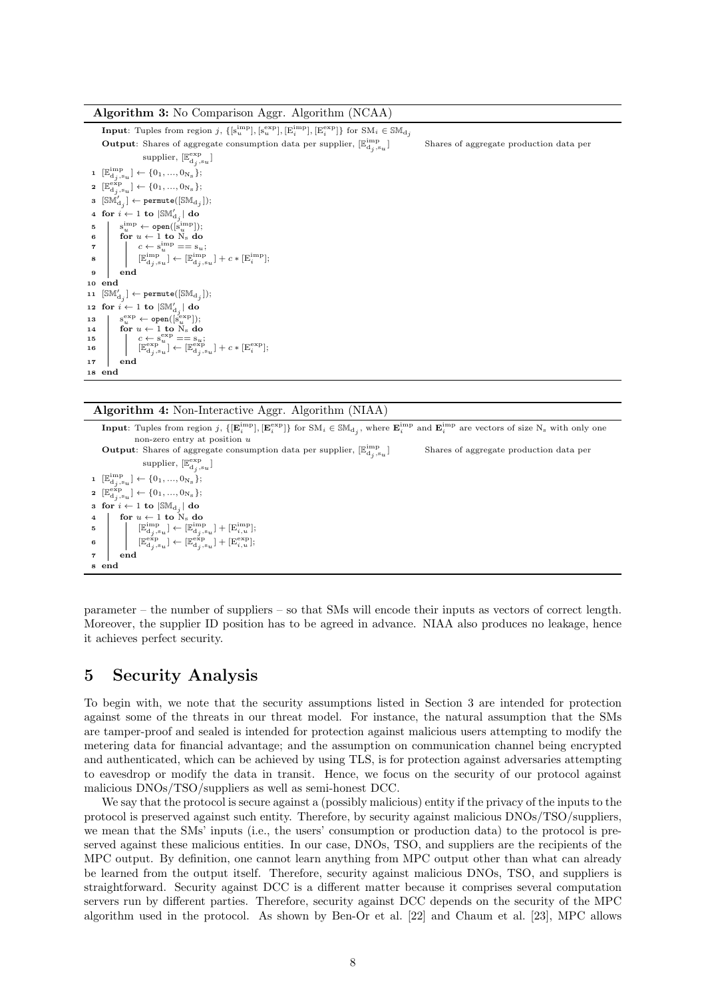#### Algorithm 3: No Comparison Aggr. Algorithm (NCAA)

**Input**: Tuples from region j,  $\{[\mathbf{s}_u^{\text{imp}}], [\mathbf{s}_u^{\text{exp}}], [\mathbf{E}_i^{\text{imp}}], [\mathbf{E}_i^{\text{exp}}]\}$  for  $\text{SM}_i \in \mathbb{SM}_{d_j}$ **Output**: Shares of aggregate consumption data per supplier,  $[\mathbb{E}_{\text{d}_j,\text{s}_u}^\text{imp}]$ ] Shares of aggregate production data per supplier,  $[\mathbb{E}_{\text{d}_j,\text{s}_u}^{\text{exp}}]$ 1  $[\mathbb{E}_{d_j,s_u}^{imp}] \leftarrow \{0_1, ..., 0_{N_s}\};$ 2  $[\mathbb{E}_{d_j,s_u}^{\exp}] \leftarrow \{0_1,...,0_{N_s}\};$  $\quad \quad \text{3} \ \ [\mathbb{SM}^I_{\text{d}_j}]\leftarrow \texttt{permute}([\mathbb{SM}_{\text{d}_j}]);$ 4 for  $i \leftarrow 1$  to  $|\mathbb{SM}_{\text{d}_j}'|$  do  $\mathfrak{s} \quad | \quad \mathbf{s}_{u}^{\mathrm{imp}} \leftarrow \texttt{open}([\mathbf{s}_{u}^{\mathrm{imp}}]);$ 6  $\begin{array}{c} 5 \\ 6 \end{array}$  for  $u \leftarrow 1$  to  $N_s$  do 7  $c \leftarrow s_u^{imp} == s_u;$  $\mathbf{8} \quad \begin{array}{c} \begin{array}{c} \end{array} \begin{array} [c] \begin{array} [c] \end{array} \begin{array} [c] \end{array} \begin{array} [c] \end{array} \begin{array} [c] \end{array} \begin{array} [c] \end{array} \begin{array} [c] \end{array} \begin{array} [c] \end{array} \begin{array} [c] \end{array} \begin{array} [c] \end{array} \begin{array} [c] \end{array} \begin{array} [c] \end{array} \begin{array} [c] \end{array} \begin{array} [c] \end{array} \begin{array} [c] \end{array} \begin{$ 9 end 10 end  $\texttt{11} \ \ [\mathbb{SM}_{\textnormal{d}_j}'] \leftarrow \texttt{permute}([\mathbb{SM}_{\textnormal{d}_j}]);$ 12 for  $i \leftarrow 1$  to  $|\mathbb{SM}'_{{\rm d}_j}|$  do  $\begin{array}{c} 13 \\ 14 \end{array}$  $e^{\exp}_u \leftarrow \texttt{open}([s^{\exp}_u]);$ for  $u \leftarrow 1$  to  $N_s$  do 15  $c \leftarrow s_u^{\exp} = s_u;$ <br>  $[\mathbb{E}_{d_j, s_u}^{\exp}] \leftarrow [\mathbb{E}_{d_j, s_u}^{\exp}] + c * [\mathbb{E}_i^{\exp}];$ 17 end 18 end

#### Algorithm 4: Non-Interactive Aggr. Algorithm (NIAA)

**Input**: Tuples from region j,  $\{[\mathbf{E}_i^{\text{imp}}], [\mathbf{E}_i^{\text{exp}}]\}$  for  $\text{SM}_i \in \text{SM}_{d_j}$ , where  $\mathbf{E}_i^{\text{imp}}$  and  $\mathbf{E}_i^{\text{imp}}$  are vectors of size  $N_s$  with only one non-zero entry at position u **Output**: Shares of aggregate consumption data per supplier,  $[\mathbb{E}_{\text{d}_j,\text{s}_u}^\text{imp}]$ Shares of aggregate production data per supplier,  $[\mathbb{E}_{\text{d}_j,\text{s}_u}^{\text{exp}}]$  $\mathbf{1} \; [\mathbb{E}_{\mathbf{d}_j, \mathbf{s}_u}^{\text{imp}}] \leftarrow {\{0_1, ..., 0_{N_{\text{s}}}}\};$  $\mathbf{2} \; [\mathbb{E}_{\text{d}_j,\text{s}_u}^{\text{exp}}] \leftarrow \{0_1,...,0_{\text{N}_\text{s}}\};$ 3 for  $i \leftarrow 1$  to  $|\mathbb{SM}_{{\rm d}_j}|$  do 4 for  $u \leftarrow 1$  to  $N_s$  do 5  $\mathbb{E}_{\mathbf{d}_j,\mathbf{s}_u}^{\text{imp}} \right\} \leftarrow \left[ \mathbb{E}_{\mathbf{d}_j,\mathbf{s}_u}^{\text{imp}} \right] + \left[ \mathbb{E}_{i,u}^{\text{imp}} \right];$  $\begin{aligned} \mathbf{6} \quad \begin{array}{c} \quad [\mathbb{E}^{\text{exp}}_{\text{d}_j,\text{su}}] \leftarrow [\mathbb{E}^{\text{exp}}_{\text{d}_j,\text{su}}] + [\mathbb{E}^{\text{exp}}_{i,u}]; \end{array} \end{aligned} \end{aligned}$ 7 end 8 end

parameter – the number of suppliers – so that SMs will encode their inputs as vectors of correct length. Moreover, the supplier ID position has to be agreed in advance. NIAA also produces no leakage, hence it achieves perfect security.

# 5 Security Analysis

To begin with, we note that the security assumptions listed in Section 3 are intended for protection against some of the threats in our threat model. For instance, the natural assumption that the SMs are tamper-proof and sealed is intended for protection against malicious users attempting to modify the metering data for financial advantage; and the assumption on communication channel being encrypted and authenticated, which can be achieved by using TLS, is for protection against adversaries attempting to eavesdrop or modify the data in transit. Hence, we focus on the security of our protocol against malicious DNOs/TSO/suppliers as well as semi-honest DCC.

We say that the protocol is secure against a (possibly malicious) entity if the privacy of the inputs to the protocol is preserved against such entity. Therefore, by security against malicious DNOs/TSO/suppliers, we mean that the SMs' inputs (i.e., the users' consumption or production data) to the protocol is preserved against these malicious entities. In our case, DNOs, TSO, and suppliers are the recipients of the MPC output. By definition, one cannot learn anything from MPC output other than what can already be learned from the output itself. Therefore, security against malicious DNOs, TSO, and suppliers is straightforward. Security against DCC is a different matter because it comprises several computation servers run by different parties. Therefore, security against DCC depends on the security of the MPC algorithm used in the protocol. As shown by Ben-Or et al. [22] and Chaum et al. [23], MPC allows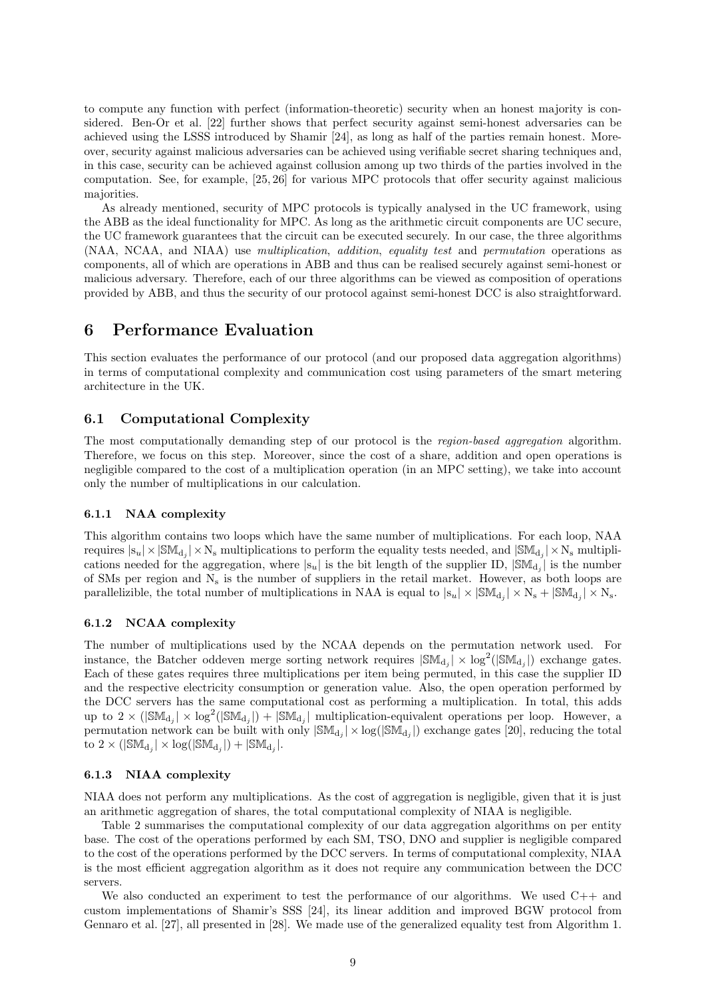to compute any function with perfect (information-theoretic) security when an honest majority is considered. Ben-Or et al. [22] further shows that perfect security against semi-honest adversaries can be achieved using the LSSS introduced by Shamir [24], as long as half of the parties remain honest. Moreover, security against malicious adversaries can be achieved using verifiable secret sharing techniques and, in this case, security can be achieved against collusion among up two thirds of the parties involved in the computation. See, for example, [25, 26] for various MPC protocols that offer security against malicious majorities.

As already mentioned, security of MPC protocols is typically analysed in the UC framework, using the ABB as the ideal functionality for MPC. As long as the arithmetic circuit components are UC secure, the UC framework guarantees that the circuit can be executed securely. In our case, the three algorithms (NAA, NCAA, and NIAA) use multiplication, addition, equality test and permutation operations as components, all of which are operations in ABB and thus can be realised securely against semi-honest or malicious adversary. Therefore, each of our three algorithms can be viewed as composition of operations provided by ABB, and thus the security of our protocol against semi-honest DCC is also straightforward.

# 6 Performance Evaluation

This section evaluates the performance of our protocol (and our proposed data aggregation algorithms) in terms of computational complexity and communication cost using parameters of the smart metering architecture in the UK.

### 6.1 Computational Complexity

The most computationally demanding step of our protocol is the *region-based aggregation* algorithm. Therefore, we focus on this step. Moreover, since the cost of a share, addition and open operations is negligible compared to the cost of a multiplication operation (in an MPC setting), we take into account only the number of multiplications in our calculation.

#### 6.1.1 NAA complexity

This algorithm contains two loops which have the same number of multiplications. For each loop, NAA requires  $|s_u| \times |\mathbb{SM}_{d_j}| \times N_s$  multiplications to perform the equality tests needed, and  $|\mathbb{SM}_{d_j}| \times N_s$  multiplications needed for the aggregation, where  $|s_u|$  is the bit length of the supplier ID,  $|\mathbb{SM}_{d_j}|$  is the number of SMs per region and  $N_s$  is the number of suppliers in the retail market. However, as both loops are parallelizible, the total number of multiplications in NAA is equal to  $|s_u| \times |\text{SM}_{d_j}| \times N_s + |\text{SM}_{d_j}| \times N_s$ .

#### 6.1.2 NCAA complexity

The number of multiplications used by the NCAA depends on the permutation network used. For instance, the Batcher oddeven merge sorting network requires  $|\text{SM}_{d_j}| \times \log^2(|\text{SM}_{d_j}|)$  exchange gates. Each of these gates requires three multiplications per item being permuted, in this case the supplier ID and the respective electricity consumption or generation value. Also, the open operation performed by the DCC servers has the same computational cost as performing a multiplication. In total, this adds up to  $2 \times (|\mathbb{SM}_{d_j}| \times \log^2(|\mathbb{SM}_{d_j}|) + |\mathbb{SM}_{d_j}|)$  multiplication-equivalent operations per loop. However, a permutation network can be built with only  $|\mathbb{SM}_{d_j}| \times \log(|\mathbb{SM}_{d_j}|)$  exchange gates [20], reducing the total to  $2 \times (|\mathbb{SM}_{d_j}| \times \log(|\mathbb{SM}_{d_j}|) + |\mathbb{SM}_{d_j}|).$ 

#### 6.1.3 NIAA complexity

NIAA does not perform any multiplications. As the cost of aggregation is negligible, given that it is just an arithmetic aggregation of shares, the total computational complexity of NIAA is negligible.

Table 2 summarises the computational complexity of our data aggregation algorithms on per entity base. The cost of the operations performed by each SM, TSO, DNO and supplier is negligible compared to the cost of the operations performed by the DCC servers. In terms of computational complexity, NIAA is the most efficient aggregation algorithm as it does not require any communication between the DCC servers.

We also conducted an experiment to test the performance of our algorithms. We used  $C_{++}$  and custom implementations of Shamir's SSS [24], its linear addition and improved BGW protocol from Gennaro et al. [27], all presented in [28]. We made use of the generalized equality test from Algorithm 1.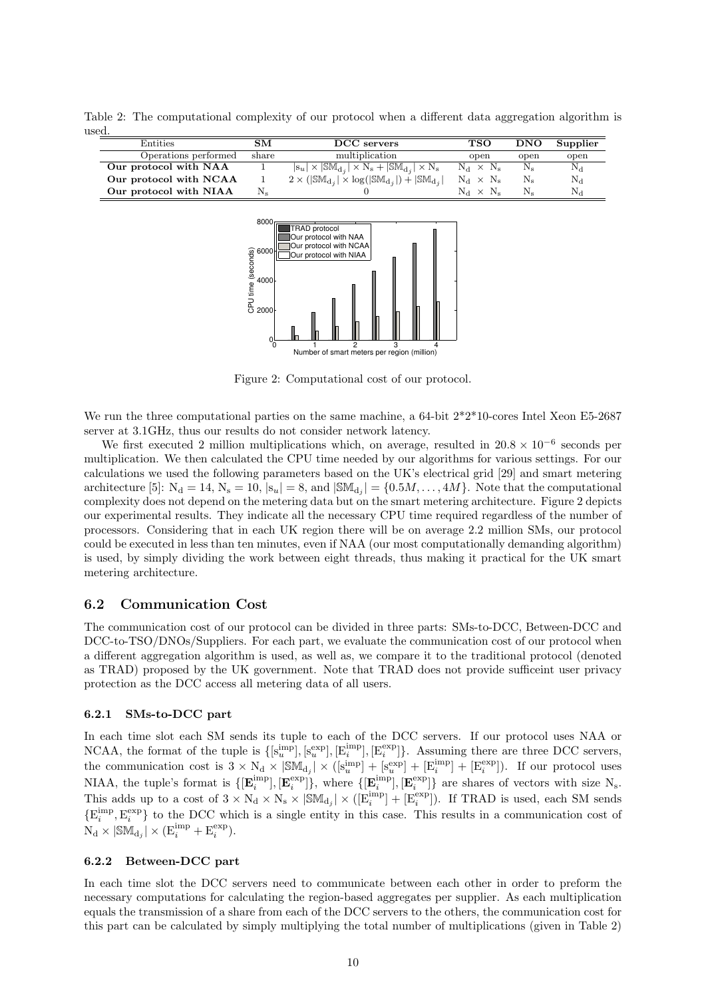Table 2: The computational complexity of our protocol when a different data aggregation algorithm is used.

| Entities               | SМ          | DCC servers                                                                                | TSO              | <b>DNO</b>  | Supplier    |
|------------------------|-------------|--------------------------------------------------------------------------------------------|------------------|-------------|-------------|
| Operations performed   | share       | multiplication                                                                             | open             | open        | open        |
| Our protocol with NAA  |             | $ s_u  \times  \mathbb{SM}_{d_i}  \times \bar{N}_s +  \mathbb{SM}_{d_i}  \times \bar{N}_s$ | $N_d \times N_s$ | $N_{\rm s}$ | $N_{\rm d}$ |
| Our protocol with NCAA |             | $2 \times ( \mathbb{SM}_{d_i}  \times \log( \mathbb{SM}_{d_i} ) +  \mathbb{SM}_{d_i} )$    | $N_d \times N_s$ | $N_{\rm s}$ | $\rm N_d$   |
| Our protocol with NIAA | $\rm N_{s}$ |                                                                                            | $N_A \times N_s$ |             | ${\rm N}_A$ |
|                        |             |                                                                                            |                  |             |             |



Figure 2: Computational cost of our protocol.

We run the three computational parties on the same machine, a 64-bit  $2*2*10$ -cores Intel Xeon E5-2687 server at 3.1GHz, thus our results do not consider network latency.

We first executed 2 million multiplications which, on average, resulted in  $20.8 \times 10^{-6}$  seconds per multiplication. We then calculated the CPU time needed by our algorithms for various settings. For our calculations we used the following parameters based on the UK's electrical grid [29] and smart metering architecture [5]:  $N_d = 14$ ,  $N_s = 10$ ,  $|s_u| = 8$ , and  $|\mathbb{SM}_{d_j}| = \{0.5M, \ldots, 4M\}$ . Note that the computational complexity does not depend on the metering data but on the smart metering architecture. Figure 2 depicts our experimental results. They indicate all the necessary CPU time required regardless of the number of processors. Considering that in each UK region there will be on average 2.2 million SMs, our protocol could be executed in less than ten minutes, even if NAA (our most computationally demanding algorithm) is used, by simply dividing the work between eight threads, thus making it practical for the UK smart metering architecture.

#### 6.2 Communication Cost

The communication cost of our protocol can be divided in three parts: SMs-to-DCC, Between-DCC and DCC-to-TSO/DNOs/Suppliers. For each part, we evaluate the communication cost of our protocol when a different aggregation algorithm is used, as well as, we compare it to the traditional protocol (denoted as TRAD) proposed by the UK government. Note that TRAD does not provide sufficeint user privacy protection as the DCC access all metering data of all users.

#### 6.2.1 SMs-to-DCC part

In each time slot each SM sends its tuple to each of the DCC servers. If our protocol uses NAA or NCAA, the format of the tuple is  $\{[\mathbf{s}_u^{\text{imp}}], [\mathbf{s}_u^{\text{exp}}], [\mathbf{E}_i^{\text{imp}}], [\mathbf{E}_i^{\text{exp}}]\}$ . Assuming there are three DCC servers, the communication cost is  $3 \times N_d \times |\mathbb{SM}_{d_j}| \times ([s_u^{imp}] + [s_u^{exp}] + [E_i^{imp}] + [E_i^{exp}]).$  If our protocol uses NIAA, the tuple's format is  $\{[\mathbf{E}_i^{\text{imp}}], [\mathbf{E}_i^{\text{exp}}]\}$ , where  $\{[\mathbf{E}_i^{\text{imp}}], [\mathbf{E}_i^{\text{exp}}]\}$  are shares of vectors with size N<sub>s</sub>. This adds up to a cost of  $3 \times N_d \times N_s \times |\mathbb{SM}_{d_j}| \times ([E_i^{\text{imp}}] + [E_i^{\text{exp}}])$ . If TRAD is used, each SM sends  $\{E_i^{\text{imp}}, E_i^{\text{exp}}\}$  to the DCC which is a single entity in this case. This results in a communication cost of  $N_d \times |\mathbb{SM}_{d_j}| \times (E_i^{imp} + E_i^{exp}).$ 

### 6.2.2 Between-DCC part

In each time slot the DCC servers need to communicate between each other in order to preform the necessary computations for calculating the region-based aggregates per supplier. As each multiplication equals the transmission of a share from each of the DCC servers to the others, the communication cost for this part can be calculated by simply multiplying the total number of multiplications (given in Table 2)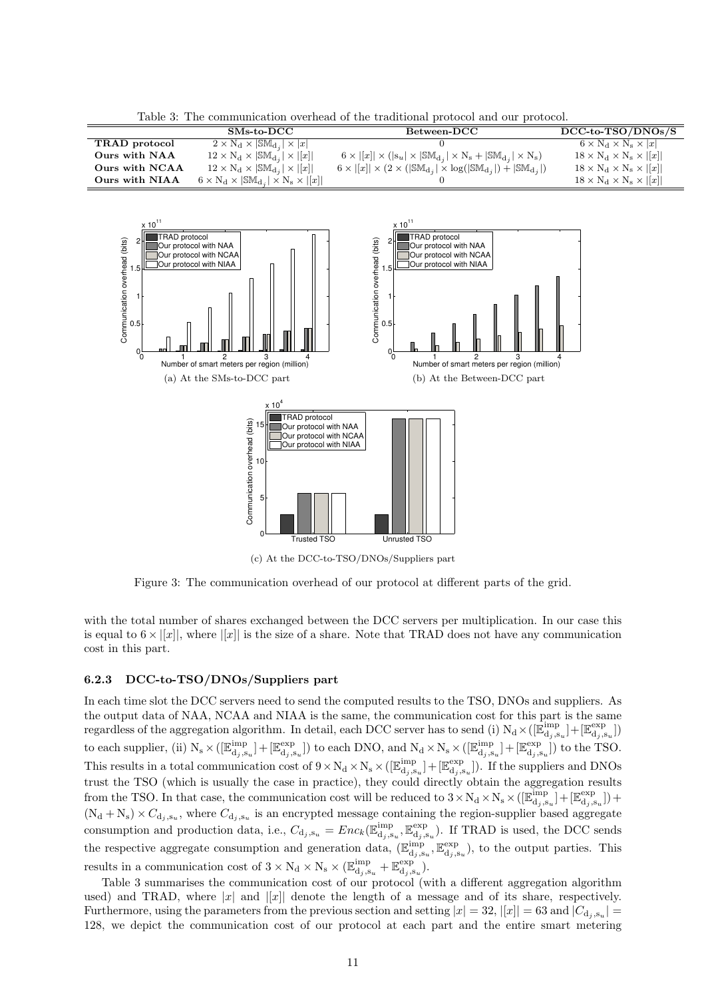Table 3: The communication overhead of the traditional protocol and our protocol.

|                | $SMs-to-DCC$                                                      | $Between-DCC$                                                                                                   | $DCC-to-TSO/DNOs/S$                     |
|----------------|-------------------------------------------------------------------|-----------------------------------------------------------------------------------------------------------------|-----------------------------------------|
| TRAD protocol  | $2 \times N_d \times  \mathbb{SM}_{d_i}  \times  x $              |                                                                                                                 | $6 \times N_d \times N_s \times  x $    |
| Ours with NAA  | $12 \times N_d \times  \mathbb{SM}_{d_i}  \times  [x] $           | $6 \times  [x]  \times ( s_u  \times  \mathbb{SM}_{d_i}  \times N_s +  \mathbb{SM}_{d_i}  \times N_s)$          | $18 \times N_d \times N_s \times   x  $ |
| Ours with NCAA | $12 \times N_d \times  \mathbb{SM}_{d_i}  \times  [x] $           | $6 \times  [x]  \times (2 \times ( \mathbb{SM}_{d_i}  \times \log( \mathbb{SM}_{d_i} ) +  \mathbb{SM}_{d_i} ))$ | $18 \times N_d \times N_s \times   x  $ |
| Ours with NIAA | $6 \times N_d \times  \mathbb{SM}_{d_i}  \times N_s \times  [x] $ |                                                                                                                 | $18 \times N_d \times N_s \times   x  $ |



Figure 3: The communication overhead of our protocol at different parts of the grid.

with the total number of shares exchanged between the DCC servers per multiplication. In our case this is equal to  $6 \times |x|$ , where  $||x||$  is the size of a share. Note that TRAD does not have any communication cost in this part.

#### 6.2.3 DCC-to-TSO/DNOs/Suppliers part

þ

In each time slot the DCC servers need to send the computed results to the TSO, DNOs and suppliers. As the output data of NAA, NCAA and NIAA is the same, the communication cost for this part is the same regardless of the aggregation algorithm. In detail, each DCC server has to send (i)  $N_d \times ([\mathbb{E}_{d_j,s_u}^{imp}] + [\mathbb{E}_{d_j,s_u}^{exp}]$ to each supplier, (ii)  $N_s \times ([\mathbb{E}_{d_j, s_u}^{imp}] + [\mathbb{E}_{d_j, s_u}^{exp}])$  to each DNO, and  $N_d \times N_s \times ([\mathbb{E}_{d_j, s_u}^{imp}] + [\mathbb{E}_{d_j, s_u}^{exp}])$  to the TSO. This results in a total communication cost of  $9 \times N_d \times N_s \times ([\mathbb{E}_{d_j,s_u}^{imp}] + [\mathbb{E}_{d_j,s_u}^{exp}])$ . If the suppliers and DNOs trust the TSO (which is usually the case in practice), they could directly obtain the aggregation results from the TSO. In that case, the communication cost will be reduced to  $3 \times N_d \times N_s \times ([\mathbb{E}_{d_j,s_u}^{imp}] + [\mathbb{E}_{d_j,s_u}^{exp}] +$  $(N_d + N_s) \times C_{d_j, s_u}$ , where  $C_{d_j, s_u}$  is an encrypted message containing the region-supplier based aggregate consumption and production data, i.e.,  $C_{d_j,s_u} = Enc_k(\mathbb{E}_{d_j,s_u}^{imp}, \mathbb{E}_{d_j,s_u}^{exp})$ . If TRAD is used, the DCC sends the respective aggregate consumption and generation data,  $(\mathbb{E}_{d_j,s_u}^{imp}, \mathbb{E}_{d_j,s_u}^{exp})$ , to the output parties. This results in a communication cost of  $3 \times N_d \times N_s \times (\mathbb{E}_{d_j,s_u}^{imp} + \mathbb{E}_{d_j,s_u}^{exp}).$ 

Table 3 summarises the communication cost of our protocol (with a different aggregation algorithm used) and TRAD, where  $|x|$  and  $||x||$  denote the length of a message and of its share, respectively. Furthermore, using the parameters from the previous section and setting  $|x| = 32$ ,  $|[x]| = 63$  and  $|C_{d_j, s_u}| =$ 128, we depict the communication cost of our protocol at each part and the entire smart metering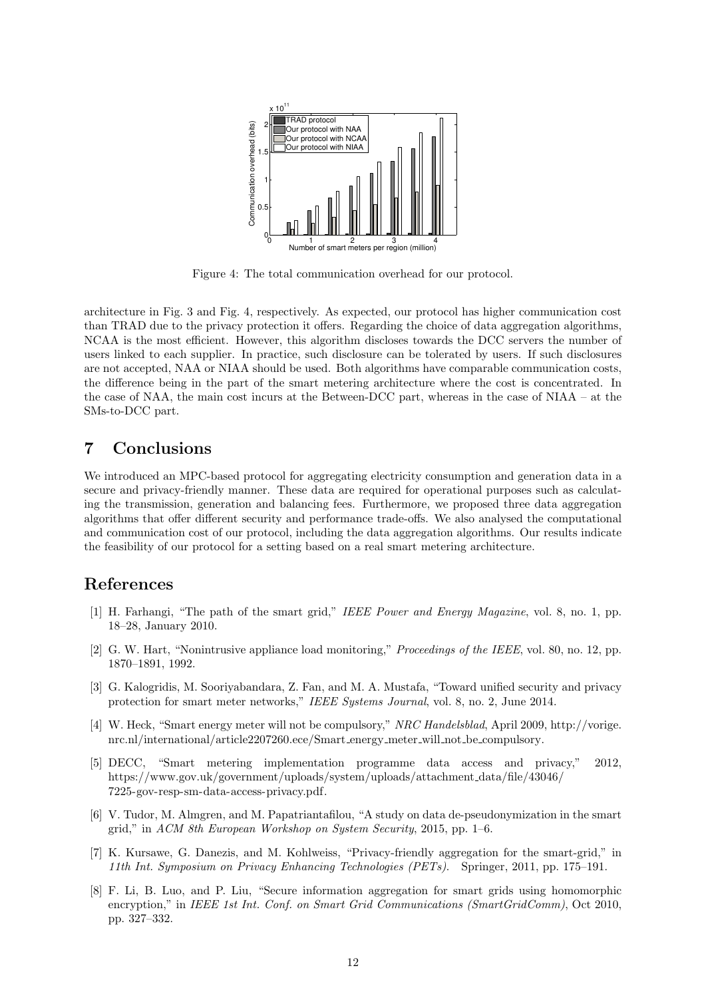

Figure 4: The total communication overhead for our protocol.

architecture in Fig. 3 and Fig. 4, respectively. As expected, our protocol has higher communication cost than TRAD due to the privacy protection it offers. Regarding the choice of data aggregation algorithms, NCAA is the most efficient. However, this algorithm discloses towards the DCC servers the number of users linked to each supplier. In practice, such disclosure can be tolerated by users. If such disclosures are not accepted, NAA or NIAA should be used. Both algorithms have comparable communication costs, the difference being in the part of the smart metering architecture where the cost is concentrated. In the case of NAA, the main cost incurs at the Between-DCC part, whereas in the case of NIAA – at the SMs-to-DCC part.

# 7 Conclusions

We introduced an MPC-based protocol for aggregating electricity consumption and generation data in a secure and privacy-friendly manner. These data are required for operational purposes such as calculating the transmission, generation and balancing fees. Furthermore, we proposed three data aggregation algorithms that offer different security and performance trade-offs. We also analysed the computational and communication cost of our protocol, including the data aggregation algorithms. Our results indicate the feasibility of our protocol for a setting based on a real smart metering architecture.

# References

- [1] H. Farhangi, "The path of the smart grid," IEEE Power and Energy Magazine, vol. 8, no. 1, pp. 18–28, January 2010.
- [2] G. W. Hart, "Nonintrusive appliance load monitoring," *Proceedings of the IEEE*, vol. 80, no. 12, pp. 1870–1891, 1992.
- [3] G. Kalogridis, M. Sooriyabandara, Z. Fan, and M. A. Mustafa, "Toward unified security and privacy protection for smart meter networks," IEEE Systems Journal, vol. 8, no. 2, June 2014.
- [4] W. Heck, "Smart energy meter will not be compulsory," NRC Handelsblad, April 2009, http://vorige. nrc.nl/international/article2207260.ece/Smart energy meter will not be compulsory.
- [5] DECC, "Smart metering implementation programme data access and privacy," 2012, https://www.gov.uk/government/uploads/system/uploads/attachment data/file/43046/ 7225-gov-resp-sm-data-access-privacy.pdf.
- [6] V. Tudor, M. Almgren, and M. Papatriantafilou, "A study on data de-pseudonymization in the smart grid," in ACM 8th European Workshop on System Security, 2015, pp. 1–6.
- [7] K. Kursawe, G. Danezis, and M. Kohlweiss, "Privacy-friendly aggregation for the smart-grid," in 11th Int. Symposium on Privacy Enhancing Technologies (PETs). Springer, 2011, pp. 175–191.
- [8] F. Li, B. Luo, and P. Liu, "Secure information aggregation for smart grids using homomorphic encryption," in IEEE 1st Int. Conf. on Smart Grid Communications (SmartGridComm), Oct 2010, pp. 327–332.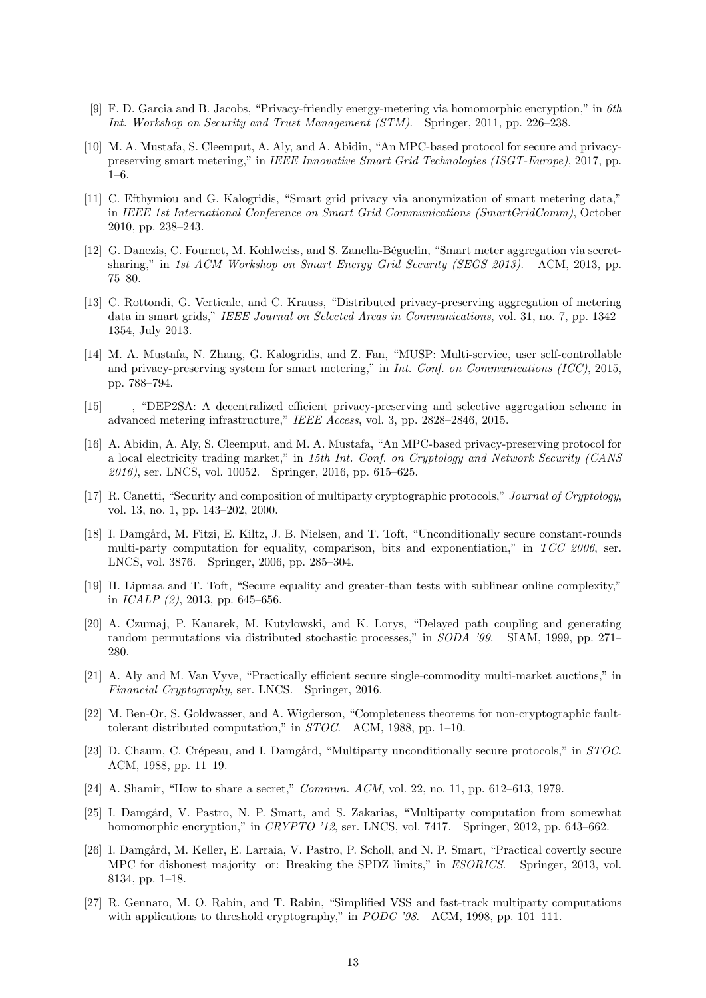- [9] F. D. Garcia and B. Jacobs, "Privacy-friendly energy-metering via homomorphic encryption," in 6th Int. Workshop on Security and Trust Management (STM). Springer, 2011, pp. 226–238.
- [10] M. A. Mustafa, S. Cleemput, A. Aly, and A. Abidin, "An MPC-based protocol for secure and privacypreserving smart metering," in IEEE Innovative Smart Grid Technologies (ISGT-Europe), 2017, pp. 1–6.
- [11] C. Efthymiou and G. Kalogridis, "Smart grid privacy via anonymization of smart metering data," in IEEE 1st International Conference on Smart Grid Communications (SmartGridComm), October 2010, pp. 238–243.
- [12] G. Danezis, C. Fournet, M. Kohlweiss, and S. Zanella-Béguelin, "Smart meter aggregation via secretsharing," in 1st ACM Workshop on Smart Energy Grid Security (SEGS 2013). ACM, 2013, pp. 75–80.
- [13] C. Rottondi, G. Verticale, and C. Krauss, "Distributed privacy-preserving aggregation of metering data in smart grids," IEEE Journal on Selected Areas in Communications, vol. 31, no. 7, pp. 1342– 1354, July 2013.
- [14] M. A. Mustafa, N. Zhang, G. Kalogridis, and Z. Fan, "MUSP: Multi-service, user self-controllable and privacy-preserving system for smart metering," in Int. Conf. on Communications (ICC), 2015, pp. 788–794.
- [15] ——, "DEP2SA: A decentralized efficient privacy-preserving and selective aggregation scheme in advanced metering infrastructure," IEEE Access, vol. 3, pp. 2828–2846, 2015.
- [16] A. Abidin, A. Aly, S. Cleemput, and M. A. Mustafa, "An MPC-based privacy-preserving protocol for a local electricity trading market," in 15th Int. Conf. on Cryptology and Network Security (CANS 2016), ser. LNCS, vol. 10052. Springer, 2016, pp. 615–625.
- [17] R. Canetti, "Security and composition of multiparty cryptographic protocols," Journal of Cryptology, vol. 13, no. 1, pp. 143–202, 2000.
- [18] I. Damgård, M. Fitzi, E. Kiltz, J. B. Nielsen, and T. Toft, "Unconditionally secure constant-rounds multi-party computation for equality, comparison, bits and exponentiation," in TCC 2006, ser. LNCS, vol. 3876. Springer, 2006, pp. 285–304.
- [19] H. Lipmaa and T. Toft, "Secure equality and greater-than tests with sublinear online complexity," in  $ICALP$  (2), 2013, pp. 645–656.
- [20] A. Czumaj, P. Kanarek, M. Kutylowski, and K. Lorys, "Delayed path coupling and generating random permutations via distributed stochastic processes," in *SODA '99.* SIAM, 1999, pp. 271– 280.
- [21] A. Aly and M. Van Vyve, "Practically efficient secure single-commodity multi-market auctions," in Financial Cryptography, ser. LNCS. Springer, 2016.
- [22] M. Ben-Or, S. Goldwasser, and A. Wigderson, "Completeness theorems for non-cryptographic faulttolerant distributed computation," in STOC. ACM, 1988, pp. 1–10.
- [23] D. Chaum, C. Crépeau, and I. Damgård, "Multiparty unconditionally secure protocols," in STOC. ACM, 1988, pp. 11–19.
- [24] A. Shamir, "How to share a secret," Commun. ACM, vol. 22, no. 11, pp. 612–613, 1979.
- [25] I. Damgård, V. Pastro, N. P. Smart, and S. Zakarias, "Multiparty computation from somewhat homomorphic encryption," in CRYPTO '12, ser. LNCS, vol. 7417. Springer, 2012, pp. 643–662.
- [26] I. Damgård, M. Keller, E. Larraia, V. Pastro, P. Scholl, and N. P. Smart, "Practical covertly secure MPC for dishonest majority or: Breaking the SPDZ limits," in ESORICS. Springer, 2013, vol. 8134, pp. 1–18.
- [27] R. Gennaro, M. O. Rabin, and T. Rabin, "Simplified VSS and fast-track multiparty computations with applications to threshold cryptography," in PODC '98. ACM, 1998, pp. 101–111.